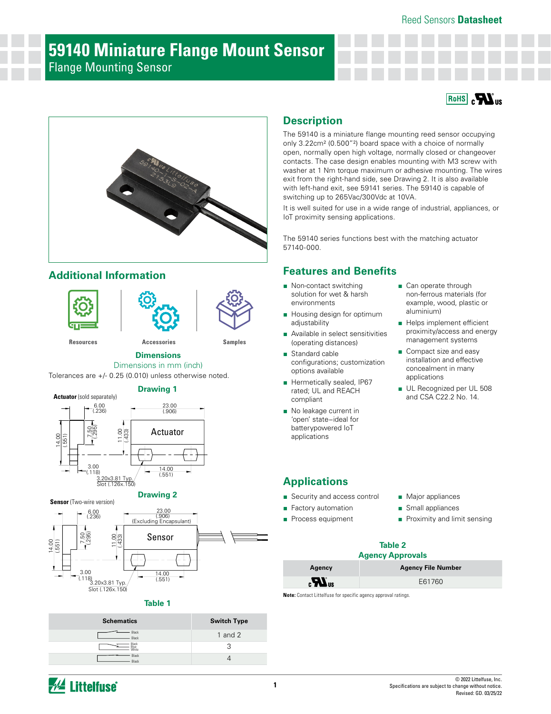### Reed Sensors **Datasheet**

# **59140 Miniature Flange Mount Sensor** Flange Mounting Sensor





## **Additional Information**







**[Resources](https://www.littelfuse.com/products/magnetic-sensors-and-reed-switches/reed-sensors/59140#TechnicalResources) [Accessories](https://www.littelfuse.com/products/magnetic-sensors-and-reed-switches/reed-sensors/59140#EnvironmentalInfo) [Samples](https://www.littelfuse.com/products/magnetic-sensors-and-reed-switches/reed-sensors/59140#ElectricalCharacteristics)**

### **Dimensions**

Dimensions in mm (inch)

Tolerances are +/- 0.25 (0.010) unless otherwise noted.







### **Table 1**

| <b>Schematics</b>      | <b>Switch Type</b> |
|------------------------|--------------------|
| Black<br><b>Black</b>  | 1 and $2$          |
| 3lack<br>Blue<br>White |                    |
| Black<br>Black         |                    |

### **Description**

The 59140 is a miniature flange mounting reed sensor occupying only 3.22cm² (0.500"²) board space with a choice of normally open, normally open high voltage, normally closed or changeover contacts. The case design enables mounting with M3 screw with washer at 1 Nm torque maximum or adhesive mounting. The wires exit from the right-hand side, see Drawing 2. It is also available with left-hand exit, see 59141 series. The 59140 is capable of switching up to 265Vac/300Vdc at 10VA.

It is well suited for use in a wide range of industrial, appliances, or IoT proximity sensing applications.

The 59140 series functions best with the matching actuator 57140-000.

## **Features and Benefits**

- Non-contact switching solution for wet & harsh environments
- Housing design for optimum adiustability
- Available in select sensitivities (operating distances)
- Standard cable configurations; customization options available
- Hermetically sealed, IP67 rated; UL and REACH compliant
- No leakage current in 'open' state−ideal for batterypowered IoT applications
- Can operate through non-ferrous materials (for example, wood, plastic or aluminium)
- Helps implement efficient proximity/access and energy management systems
- Compact size and easy installation and effective concealment in many applications
- UL Recognized per UL 508 and CSA C22.2 No. 14.

## **Applications**

- Security and access control
- Factory automation
- Process equipment
- 
- Major appliances
- Small appliances
- Proximity and limit sensing

### **Table 2 Agency Approvals**

| Agency                                     | <b>Agency File Number</b> |
|--------------------------------------------|---------------------------|
| $_{\alpha}$ $\boldsymbol{M}$ <sub>us</sub> | E61760                    |

**Note:** Contact Littelfuse for specific agency approval ratings.

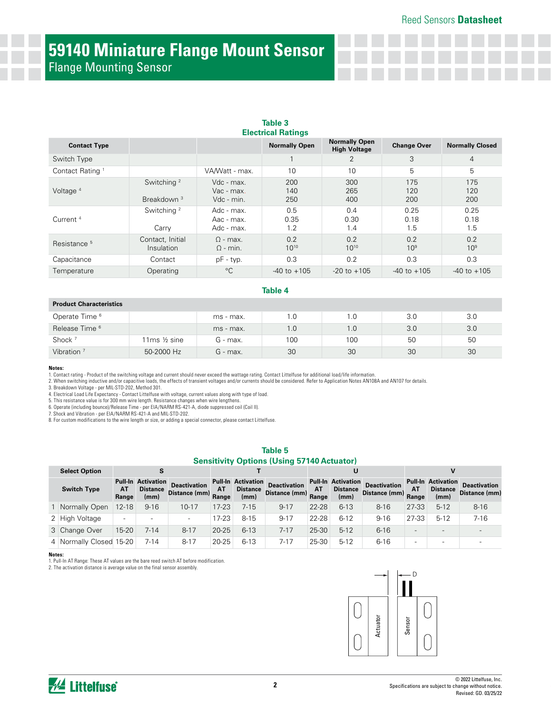# **59140 Miniature Flange Mount Sensor** Flange Mounting Sensor

|                             |                                                  |                                        | Table 3<br><b>Electrical Ratings</b> |                                             |                        |                        |
|-----------------------------|--------------------------------------------------|----------------------------------------|--------------------------------------|---------------------------------------------|------------------------|------------------------|
| <b>Contact Type</b>         |                                                  |                                        | <b>Normally Open</b>                 | <b>Normally Open</b><br><b>High Voltage</b> | <b>Change Over</b>     | <b>Normally Closed</b> |
| Switch Type                 |                                                  |                                        |                                      | 2                                           | 3                      | $\overline{4}$         |
| Contact Rating <sup>1</sup> |                                                  | VA/Watt - max.                         | 10                                   | 10                                          | 5                      | 5                      |
| Voltage <sup>4</sup>        | Switching <sup>2</sup><br>Breakdown <sup>3</sup> | Vdc - max.<br>Vac - max.<br>Vdc - min. | 200<br>140<br>250                    | 300<br>265<br>400                           | 175<br>120<br>200      | 175<br>120<br>200      |
| Current <sup>4</sup>        | Switching <sup>2</sup><br>Carry                  | Adc - max.<br>Aac - max.<br>Adc - max. | 0.5<br>0.35<br>1.2                   | 0.4<br>0.30<br>1.4                          | 0.25<br>0.18<br>1.5    | 0.25<br>0.18<br>1.5    |
| Resistance <sup>5</sup>     | Contact, Initial<br>Insulation                   | $\Omega$ - max.<br>$\Omega$ - min.     | 0.2<br>$10^{10}$                     | 0.2<br>$10^{10}$                            | 0.2<br>10 <sup>9</sup> | 0.2<br>10 <sup>9</sup> |
| Capacitance                 | Contact                                          | $pF - typ.$                            | 0.3                                  | 0.2                                         | 0.3                    | 0.3                    |
| Temperature                 | Operating                                        | $^{\circ}C$                            | $-40$ to $+105$                      | $-20$ to $+105$                             | $-40$ to $+105$        | $-40$ to $+105$        |

### **Table 4**

### **Product Characteristics**

| Operate Time <sup>6</sup> |             | ms - max. | 1.0 | l.O | 3.0 | 3.0 |
|---------------------------|-------------|-----------|-----|-----|-----|-----|
| Release Time <sup>6</sup> |             | ms - max. | 1.0 | 1.0 | 3.0 | 3.0 |
| Shock <sup>7</sup>        | 11ms ½ sine | G - max.  | 100 | 100 | 50  | 50  |
| Vibration <sup>7</sup>    | 50-2000 Hz  | G - max.  | 30  | 30  | 30  | 30  |

#### **Notes:**

1. Contact rating - Product of the switching voltage and current should never exceed the wattage rating. Contact Littelfuse for additional load/life information.<br>2. When switching inductive and/or capacitive loads, the eff

3. Breakdown Voltage - per MIL-STD-202, Method 301.

4. Electrical Load Life Expectancy - Contact Littelfuse with voltage, current values along with type of load. 5. This resistance value is for 300 mm wire length. Resistance changes when wire lengthens.

6. Operate (including bounce)/Release Time - per EIA/NARM RS-421-A, diode suppressed coil (Coil II).

7. Shock and Vibration - per EIA/NARM RS-421-A and MIL-STD-202.

8. For custom modifications to the wire length or size, or adding a special connector, please contact Littelfuse.

### **Table 5 Sensitivity Options (Using 57140 Actuator)**

| <b>Select Option</b>    |                          | s                                                    |                                            |           |                                                      |                                            |           | U                                                    |                                            |                          |                                                      |                                      |
|-------------------------|--------------------------|------------------------------------------------------|--------------------------------------------|-----------|------------------------------------------------------|--------------------------------------------|-----------|------------------------------------------------------|--------------------------------------------|--------------------------|------------------------------------------------------|--------------------------------------|
| <b>Switch Type</b>      | AT<br>Range              | <b>Pull-In Activation</b><br><b>Distance</b><br>(mm) | <b>Deactivation</b><br>Distance (mm) Range | AT        | <b>Pull-In Activation</b><br><b>Distance</b><br>(mm) | <b>Deactivation</b><br>Distance (mm) Range | <b>AT</b> | <b>Pull-In Activation</b><br><b>Distance</b><br>(mm) | <b>Deactivation</b><br>Distance (mm) Range | AT                       | <b>Pull-In Activation</b><br><b>Distance</b><br>(mm) | <b>Deactivation</b><br>Distance (mm) |
| 1 Normally Open         | $12 - 18$                | $9 - 16$                                             | 10-17                                      | $17 - 23$ | 7-15                                                 | $9 - 17$                                   | 22-28     | $6 - 13$                                             | $8 - 16$                                   | 27-33                    | $5 - 12$                                             | $8 - 16$                             |
| 2 High Voltage          | $\overline{\phantom{a}}$ | $\overline{\phantom{0}}$                             | $\overline{\phantom{a}}$                   | $17 - 23$ | $8 - 15$                                             | $9 - 17$                                   | 22-28     | $6 - 12$                                             | $9 - 16$                                   | 27-33                    | $5 - 12$                                             | $7 - 16$                             |
| 3 Change Over           | $15 - 20$                | 7-14                                                 | $8 - 17$                                   | $20 - 25$ | $6 - 13$                                             | $7 - 17$                                   | 25-30     | $5 - 12$                                             | $6 - 16$                                   | $\overline{\phantom{0}}$ | $\overline{\phantom{0}}$                             | -                                    |
| 4 Normally Closed 15-20 |                          | $7 - 14$                                             | $8 - 17$                                   | $20 - 25$ | $6 - 13$                                             | $7 - 17$                                   | 25-30     | $5 - 12$                                             | $6 - 16$                                   | -                        |                                                      |                                      |

#### **Notes:**

1. Pull-In AT Range: These AT values are the bare reed switch AT before modification.

2. The activation distance is average value on the final sensor assembly.